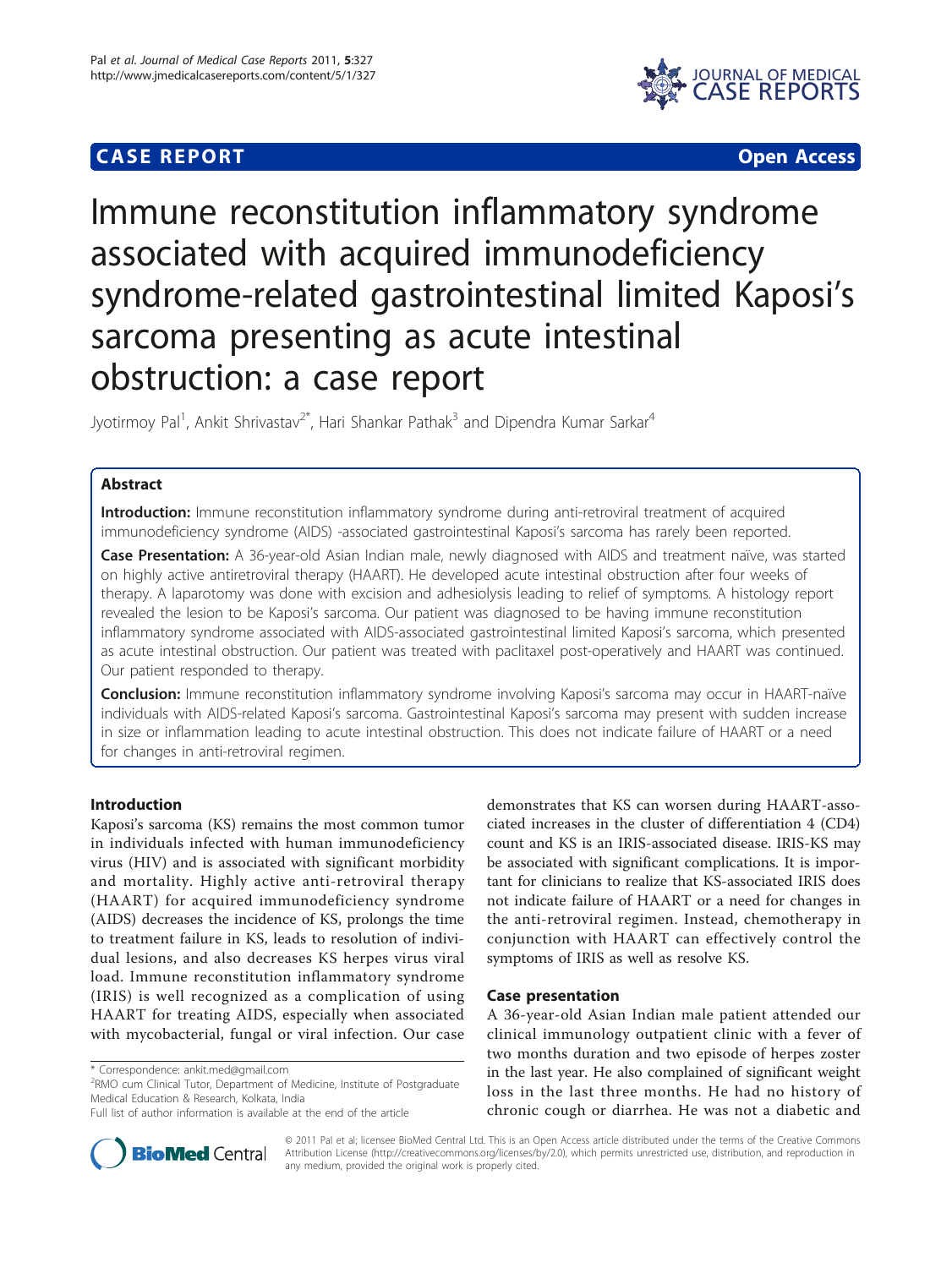# **CASE REPORT CASE REPORT** And the contract of the contract of the contract of the contract of the contract of the contract of the contract of the contract of the contract of the contract of the contract of the contract of



# Immune reconstitution inflammatory syndrome associated with acquired immunodeficiency syndrome-related gastrointestinal limited Kaposi's sarcoma presenting as acute intestinal obstruction: a case report

Jyotirmoy Pal<sup>1</sup>, Ankit Shrivastav<sup>2\*</sup>, Hari Shankar Pathak<sup>3</sup> and Dipendra Kumar Sarkar<sup>4</sup>

# Abstract

Introduction: Immune reconstitution inflammatory syndrome during anti-retroviral treatment of acquired immunodeficiency syndrome (AIDS) -associated gastrointestinal Kaposi's sarcoma has rarely been reported.

Case Presentation: A 36-year-old Asian Indian male, newly diagnosed with AIDS and treatment naïve, was started on highly active antiretroviral therapy (HAART). He developed acute intestinal obstruction after four weeks of therapy. A laparotomy was done with excision and adhesiolysis leading to relief of symptoms. A histology report revealed the lesion to be Kaposi's sarcoma. Our patient was diagnosed to be having immune reconstitution inflammatory syndrome associated with AIDS-associated gastrointestinal limited Kaposi's sarcoma, which presented as acute intestinal obstruction. Our patient was treated with paclitaxel post-operatively and HAART was continued. Our patient responded to therapy.

Conclusion: Immune reconstitution inflammatory syndrome involving Kaposi's sarcoma may occur in HAART-naïve individuals with AIDS-related Kaposi's sarcoma. Gastrointestinal Kaposi's sarcoma may present with sudden increase in size or inflammation leading to acute intestinal obstruction. This does not indicate failure of HAART or a need for changes in anti-retroviral regimen.

# Introduction

Kaposi's sarcoma (KS) remains the most common tumor in individuals infected with human immunodeficiency virus (HIV) and is associated with significant morbidity and mortality. Highly active anti-retroviral therapy (HAART) for acquired immunodeficiency syndrome (AIDS) decreases the incidence of KS, prolongs the time to treatment failure in KS, leads to resolution of individual lesions, and also decreases KS herpes virus viral load. Immune reconstitution inflammatory syndrome (IRIS) is well recognized as a complication of using HAART for treating AIDS, especially when associated with mycobacterial, fungal or viral infection. Our case

<sup>2</sup>RMO cum Clinical Tutor, Department of Medicine, Institute of Postgraduate Medical Education & Research, Kolkata, India

demonstrates that KS can worsen during HAART-associated increases in the cluster of differentiation 4 (CD4) count and KS is an IRIS-associated disease. IRIS-KS may be associated with significant complications. It is important for clinicians to realize that KS-associated IRIS does not indicate failure of HAART or a need for changes in the anti-retroviral regimen. Instead, chemotherapy in conjunction with HAART can effectively control the symptoms of IRIS as well as resolve KS.

#### Case presentation

A 36-year-old Asian Indian male patient attended our clinical immunology outpatient clinic with a fever of two months duration and two episode of herpes zoster in the last year. He also complained of significant weight loss in the last three months. He had no history of chronic cough or diarrhea. He was not a diabetic and



© 2011 Pal et al; licensee BioMed Central Ltd. This is an Open Access article distributed under the terms of the Creative Commons Attribution License [\(http://creativecommons.org/licenses/by/2.0](http://creativecommons.org/licenses/by/2.0)), which permits unrestricted use, distribution, and reproduction in any medium, provided the original work is properly cited.

<sup>\*</sup> Correspondence: [ankit.med@gmail.com](mailto:ankit.med@gmail.com)

Full list of author information is available at the end of the article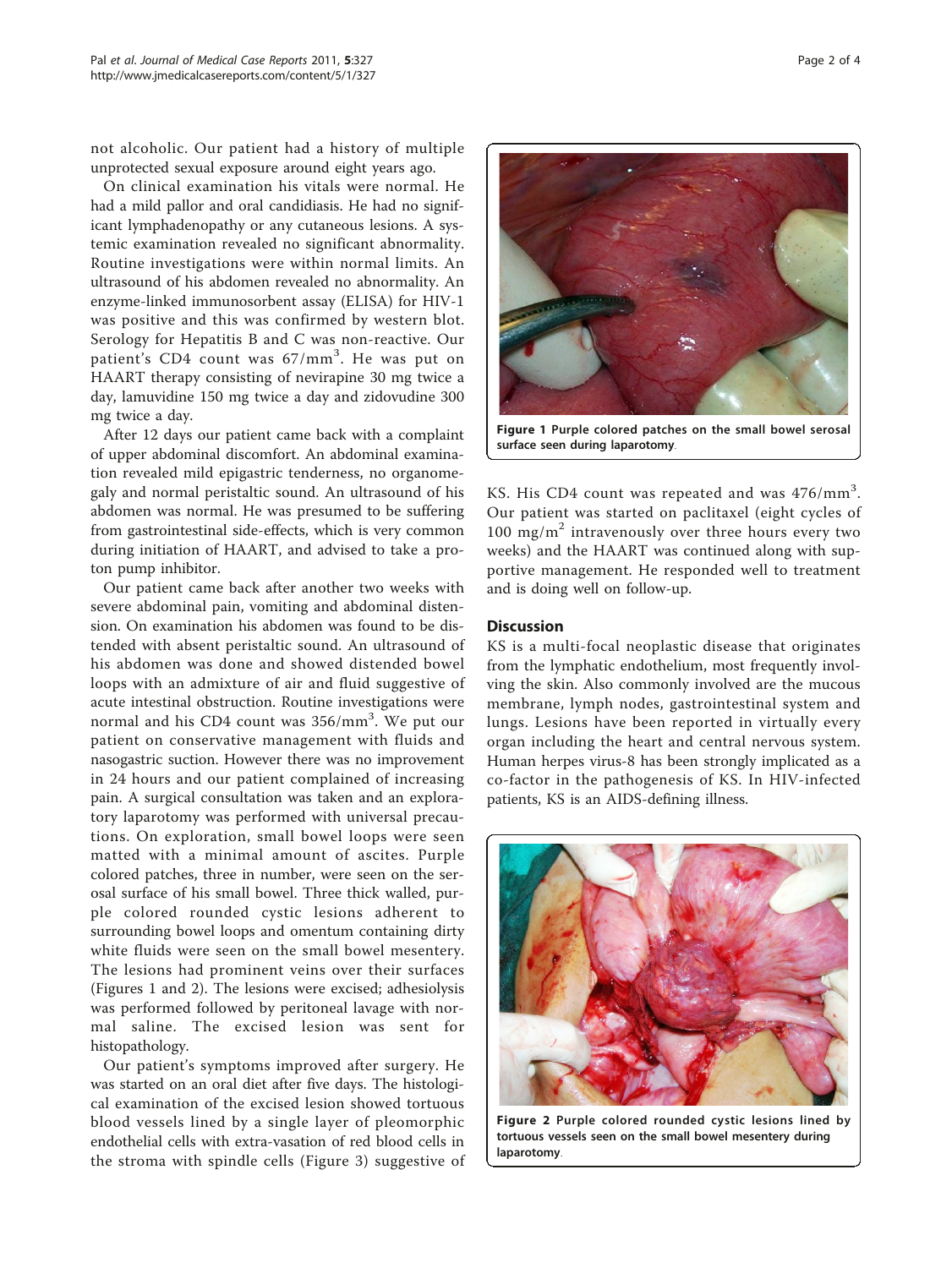not alcoholic. Our patient had a history of multiple unprotected sexual exposure around eight years ago.

On clinical examination his vitals were normal. He had a mild pallor and oral candidiasis. He had no significant lymphadenopathy or any cutaneous lesions. A systemic examination revealed no significant abnormality. Routine investigations were within normal limits. An ultrasound of his abdomen revealed no abnormality. An enzyme-linked immunosorbent assay (ELISA) for HIV-1 was positive and this was confirmed by western blot. Serology for Hepatitis B and C was non-reactive. Our patient's CD4 count was 67/mm<sup>3</sup>. He was put on HAART therapy consisting of nevirapine 30 mg twice a day, lamuvidine 150 mg twice a day and zidovudine 300 mg twice a day.

After 12 days our patient came back with a complaint of upper abdominal discomfort. An abdominal examination revealed mild epigastric tenderness, no organomegaly and normal peristaltic sound. An ultrasound of his abdomen was normal. He was presumed to be suffering from gastrointestinal side-effects, which is very common during initiation of HAART, and advised to take a proton pump inhibitor.

Our patient came back after another two weeks with severe abdominal pain, vomiting and abdominal distension. On examination his abdomen was found to be distended with absent peristaltic sound. An ultrasound of his abdomen was done and showed distended bowel loops with an admixture of air and fluid suggestive of acute intestinal obstruction. Routine investigations were normal and his CD4 count was 356/mm<sup>3</sup>. We put our patient on conservative management with fluids and nasogastric suction. However there was no improvement in 24 hours and our patient complained of increasing pain. A surgical consultation was taken and an exploratory laparotomy was performed with universal precautions. On exploration, small bowel loops were seen matted with a minimal amount of ascites. Purple colored patches, three in number, were seen on the serosal surface of his small bowel. Three thick walled, purple colored rounded cystic lesions adherent to surrounding bowel loops and omentum containing dirty white fluids were seen on the small bowel mesentery. The lesions had prominent veins over their surfaces (Figures 1 and 2). The lesions were excised; adhesiolysis was performed followed by peritoneal lavage with normal saline. The excised lesion was sent for histopathology.

Our patient's symptoms improved after surgery. He was started on an oral diet after five days. The histological examination of the excised lesion showed tortuous blood vessels lined by a single layer of pleomorphic endothelial cells with extra-vasation of red blood cells in the stroma with spindle cells (Figure [3](#page-2-0)) suggestive of

Figure 1 Purple colored patches on the small bowel serosal surface seen during laparotomy.

KS. His CD4 count was repeated and was 476/mm<sup>3</sup>. Our patient was started on paclitaxel (eight cycles of 100 mg/m<sup>2</sup> intravenously over three hours every two weeks) and the HAART was continued along with supportive management. He responded well to treatment and is doing well on follow-up.

#### Discussion

KS is a multi-focal neoplastic disease that originates from the lymphatic endothelium, most frequently involving the skin. Also commonly involved are the mucous membrane, lymph nodes, gastrointestinal system and lungs. Lesions have been reported in virtually every organ including the heart and central nervous system. Human herpes virus-8 has been strongly implicated as a co-factor in the pathogenesis of KS. In HIV-infected patients, KS is an AIDS-defining illness.



Figure 2 Purple colored rounded cystic lesions lined by tortuous vessels seen on the small bowel mesentery during laparotomy.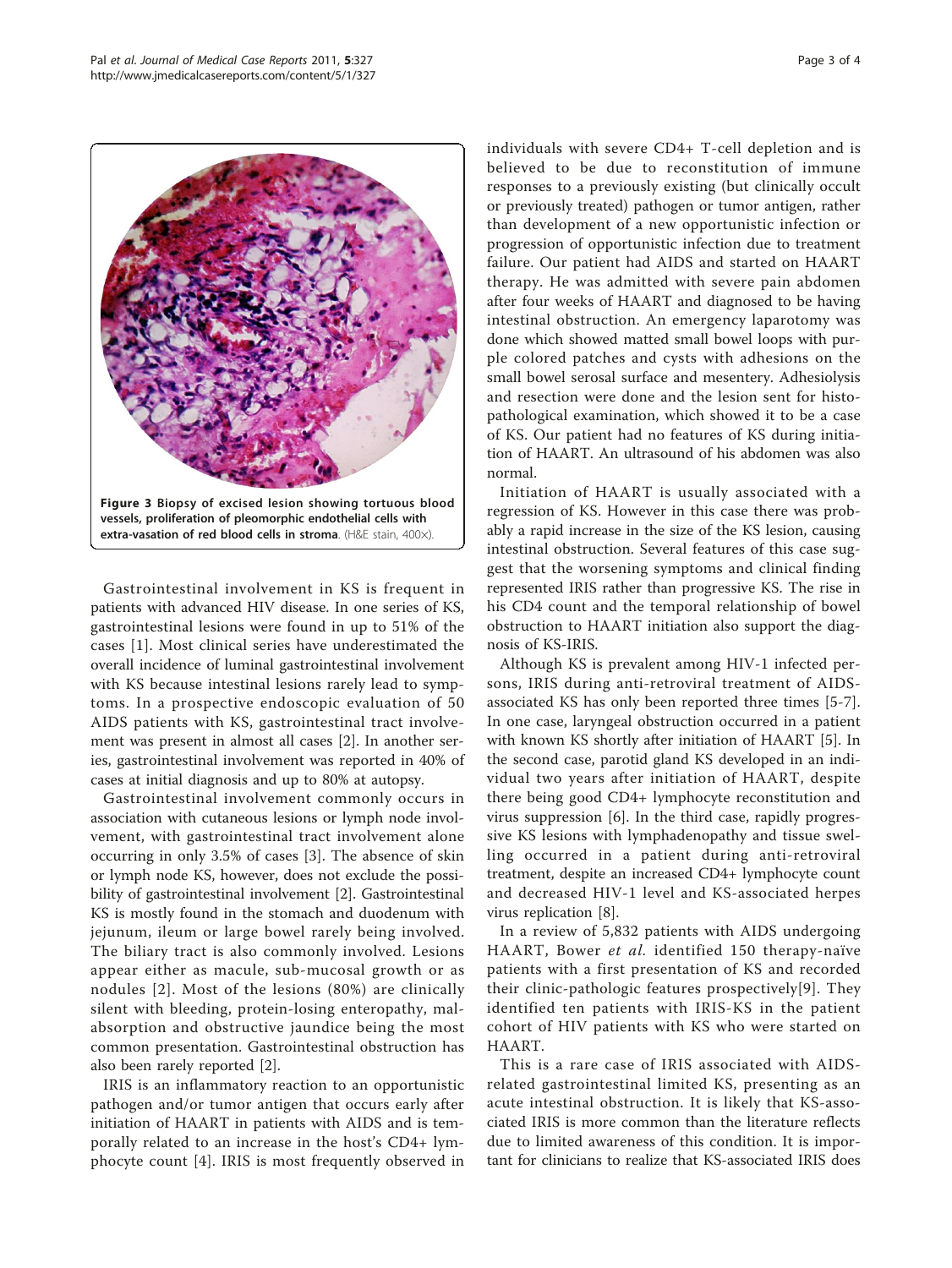<span id="page-2-0"></span>

Gastrointestinal involvement in KS is frequent in patients with advanced HIV disease. In one series of KS, gastrointestinal lesions were found in up to 51% of the cases [[1](#page-3-0)]. Most clinical series have underestimated the overall incidence of luminal gastrointestinal involvement with KS because intestinal lesions rarely lead to symptoms. In a prospective endoscopic evaluation of 50 AIDS patients with KS, gastrointestinal tract involvement was present in almost all cases [[2\]](#page-3-0). In another series, gastrointestinal involvement was reported in 40% of cases at initial diagnosis and up to 80% at autopsy.

Gastrointestinal involvement commonly occurs in association with cutaneous lesions or lymph node involvement, with gastrointestinal tract involvement alone occurring in only 3.5% of cases [\[3](#page-3-0)]. The absence of skin or lymph node KS, however, does not exclude the possibility of gastrointestinal involvement [[2\]](#page-3-0). Gastrointestinal KS is mostly found in the stomach and duodenum with jejunum, ileum or large bowel rarely being involved. The biliary tract is also commonly involved. Lesions appear either as macule, sub-mucosal growth or as nodules [[2](#page-3-0)]. Most of the lesions (80%) are clinically silent with bleeding, protein-losing enteropathy, malabsorption and obstructive jaundice being the most common presentation. Gastrointestinal obstruction has also been rarely reported [\[2](#page-3-0)].

IRIS is an inflammatory reaction to an opportunistic pathogen and/or tumor antigen that occurs early after initiation of HAART in patients with AIDS and is temporally related to an increase in the host's CD4+ lymphocyte count [\[4](#page-3-0)]. IRIS is most frequently observed in individuals with severe CD4+ T-cell depletion and is believed to be due to reconstitution of immune responses to a previously existing (but clinically occult or previously treated) pathogen or tumor antigen, rather than development of a new opportunistic infection or progression of opportunistic infection due to treatment failure. Our patient had AIDS and started on HAART therapy. He was admitted with severe pain abdomen after four weeks of HAART and diagnosed to be having intestinal obstruction. An emergency laparotomy was done which showed matted small bowel loops with purple colored patches and cysts with adhesions on the small bowel serosal surface and mesentery. Adhesiolysis and resection were done and the lesion sent for histopathological examination, which showed it to be a case of KS. Our patient had no features of KS during initiation of HAART. An ultrasound of his abdomen was also normal.

Initiation of HAART is usually associated with a regression of KS. However in this case there was probably a rapid increase in the size of the KS lesion, causing intestinal obstruction. Several features of this case suggest that the worsening symptoms and clinical finding represented IRIS rather than progressive KS. The rise in his CD4 count and the temporal relationship of bowel obstruction to HAART initiation also support the diagnosis of KS-IRIS.

Although KS is prevalent among HIV-1 infected persons, IRIS during anti-retroviral treatment of AIDSassociated KS has only been reported three times [[5-7](#page-3-0)]. In one case, laryngeal obstruction occurred in a patient with known KS shortly after initiation of HAART [\[5](#page-3-0)]. In the second case, parotid gland KS developed in an individual two years after initiation of HAART, despite there being good CD4+ lymphocyte reconstitution and virus suppression [[6\]](#page-3-0). In the third case, rapidly progressive KS lesions with lymphadenopathy and tissue swelling occurred in a patient during anti-retroviral treatment, despite an increased CD4+ lymphocyte count and decreased HIV-1 level and KS-associated herpes virus replication [\[8](#page-3-0)].

In a review of 5,832 patients with AIDS undergoing HAART, Bower et al. identified 150 therapy-naïve patients with a first presentation of KS and recorded their clinic-pathologic features prospectively[[9\]](#page-3-0). They identified ten patients with IRIS-KS in the patient cohort of HIV patients with KS who were started on HAART.

This is a rare case of IRIS associated with AIDSrelated gastrointestinal limited KS, presenting as an acute intestinal obstruction. It is likely that KS-associated IRIS is more common than the literature reflects due to limited awareness of this condition. It is important for clinicians to realize that KS-associated IRIS does